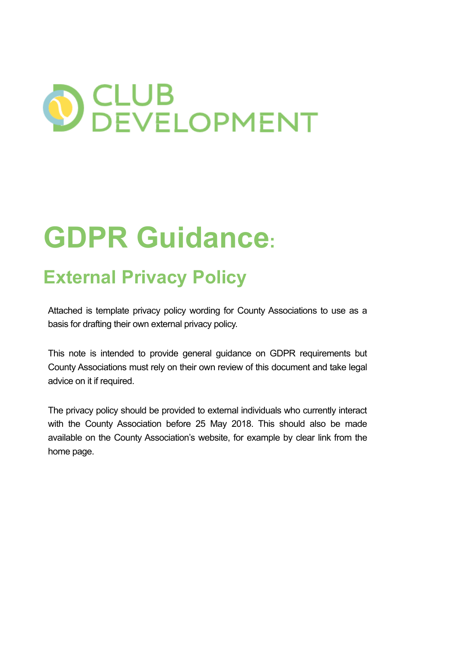

# **GDPR Guidance:**

## **External Privacy Policy**

Attached is template privacy policy wording for County Associations to use as a basis for drafting their own external privacy policy.

This note is intended to provide general guidance on GDPR requirements but County Associations must rely on their own review of this document and take legal advice on it if required.

The privacy policy should be provided to external individuals who currently interact with the County Association before 25 May 2018. This should also be made available on the County Association's website, for example by clear link from the home page.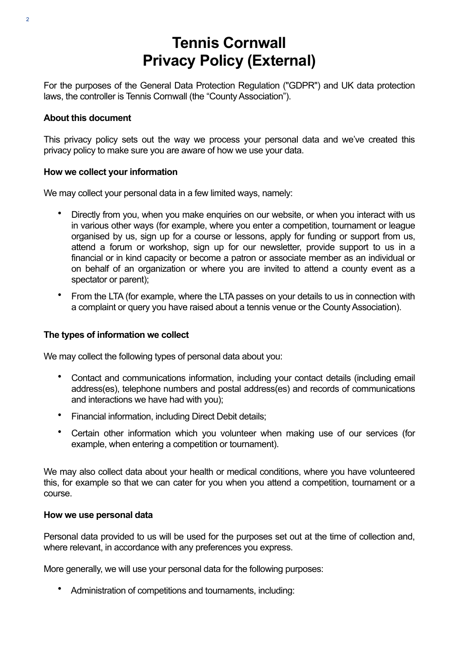### **Tennis Cornwall Privacy Policy (External)**

For the purposes of the General Data Protection Regulation ("GDPR") and UK data protection laws, the controller is Tennis Cornwall (the "County Association").

#### **About this document**

This privacy policy sets out the way we process your personal data and we've created this privacy policy to make sure you are aware of how we use your data.

#### **How we collect your information**

We may collect your personal data in a few limited ways, namely:

- Directly from you, when you make enquiries on our website, or when you interact with us in various other ways (for example, where you enter a competition, tournament or league organised by us, sign up for a course or lessons, apply for funding or support from us, attend a forum or workshop, sign up for our newsletter, provide support to us in a financial or in kind capacity or become a patron or associate member as an individual or on behalf of an organization or where you are invited to attend a county event as a spectator or parent);
- From the LTA (for example, where the LTA passes on your details to us in connection with a complaint or query you have raised about a tennis venue or the County Association).

#### **The types of information we collect**

We may collect the following types of personal data about you:

- Contact and communications information, including your contact details (including email address(es), telephone numbers and postal address(es) and records of communications and interactions we have had with you);
- Financial information, including Direct Debit details;
- Certain other information which you volunteer when making use of our services (for example, when entering a competition or tournament).

We may also collect data about your health or medical conditions, where you have volunteered this, for example so that we can cater for you when you attend a competition, tournament or a course.

#### **How we use personal data**

Personal data provided to us will be used for the purposes set out at the time of collection and, where relevant, in accordance with any preferences you express.

More generally, we will use your personal data for the following purposes:

• Administration of competitions and tournaments, including: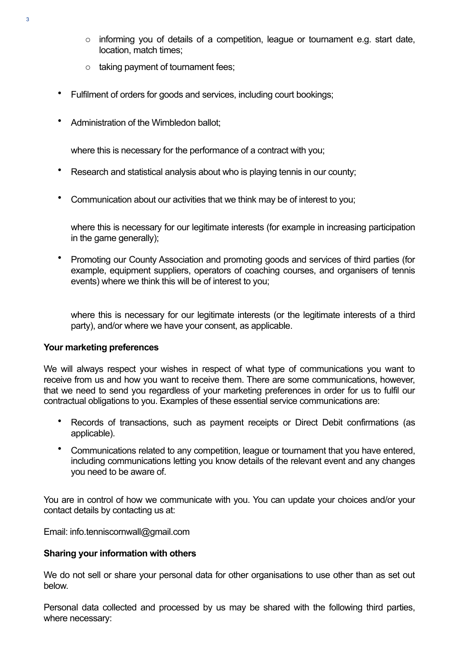- o informing you of details of a competition, league or tournament e.g. start date, location, match times;
- o taking payment of tournament fees;
- Fulfilment of orders for goods and services, including court bookings;
- Administration of the Wimbledon ballot;

where this is necessary for the performance of a contract with you;

- Research and statistical analysis about who is playing tennis in our county;
- Communication about our activities that we think may be of interest to you;

where this is necessary for our legitimate interests (for example in increasing participation in the game generally);

• Promoting our County Association and promoting goods and services of third parties (for example, equipment suppliers, operators of coaching courses, and organisers of tennis events) where we think this will be of interest to you;

where this is necessary for our legitimate interests (or the legitimate interests of a third party), and/or where we have your consent, as applicable.

#### **Your marketing preferences**

We will always respect your wishes in respect of what type of communications you want to receive from us and how you want to receive them. There are some communications, however, that we need to send you regardless of your marketing preferences in order for us to fulfil our contractual obligations to you. Examples of these essential service communications are:

- Records of transactions, such as payment receipts or Direct Debit confirmations (as applicable).
- Communications related to any competition, league or tournament that you have entered, including communications letting you know details of the relevant event and any changes you need to be aware of.

You are in control of how we communicate with you. You can update your choices and/or your contact details by contacting us at:

Email: info.tenniscornwall@gmail.com

#### **Sharing your information with others**

We do not sell or share your personal data for other organisations to use other than as set out below.

Personal data collected and processed by us may be shared with the following third parties, where necessary: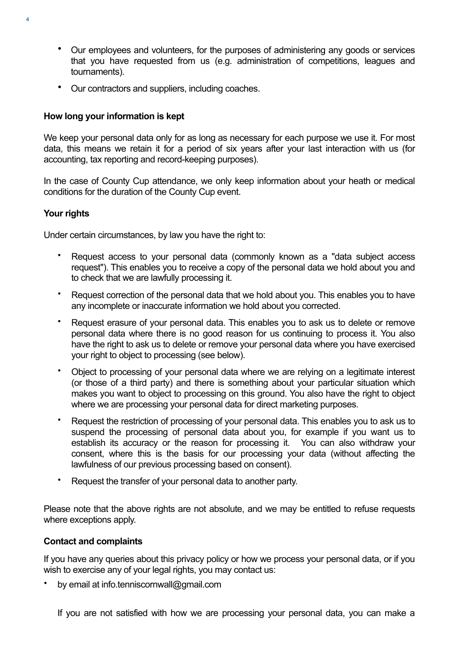- Our employees and volunteers, for the purposes of administering any goods or services that you have requested from us (e.g. administration of competitions, leagues and tournaments).
- Our contractors and suppliers, including coaches.

#### **How long your information is kept**

We keep your personal data only for as long as necessary for each purpose we use it. For most data, this means we retain it for a period of six years after your last interaction with us (for accounting, tax reporting and record-keeping purposes).

In the case of County Cup attendance, we only keep information about your heath or medical conditions for the duration of the County Cup event.

#### **Your rights**

4

Under certain circumstances, by law you have the right to:

- Request access to your personal data (commonly known as a "data subject access request"). This enables you to receive a copy of the personal data we hold about you and to check that we are lawfully processing it.
- Request correction of the personal data that we hold about you. This enables you to have any incomplete or inaccurate information we hold about you corrected.
- Request erasure of your personal data. This enables you to ask us to delete or remove personal data where there is no good reason for us continuing to process it. You also have the right to ask us to delete or remove your personal data where you have exercised your right to object to processing (see below).
- Object to processing of your personal data where we are relying on a legitimate interest (or those of a third party) and there is something about your particular situation which makes you want to object to processing on this ground. You also have the right to object where we are processing your personal data for direct marketing purposes.
- Request the restriction of processing of your personal data. This enables you to ask us to suspend the processing of personal data about you, for example if you want us to establish its accuracy or the reason for processing it. You can also withdraw your consent, where this is the basis for our processing your data (without affecting the lawfulness of our previous processing based on consent).
- Request the transfer of your personal data to another party.

Please note that the above rights are not absolute, and we may be entitled to refuse requests where exceptions apply.

#### **Contact and complaints**

If you have any queries about this privacy policy or how we process your personal data, or if you wish to exercise any of your legal rights, you may contact us:

• by email at info.tenniscornwall@gmail.com

If you are not satisfied with how we are processing your personal data, you can make a